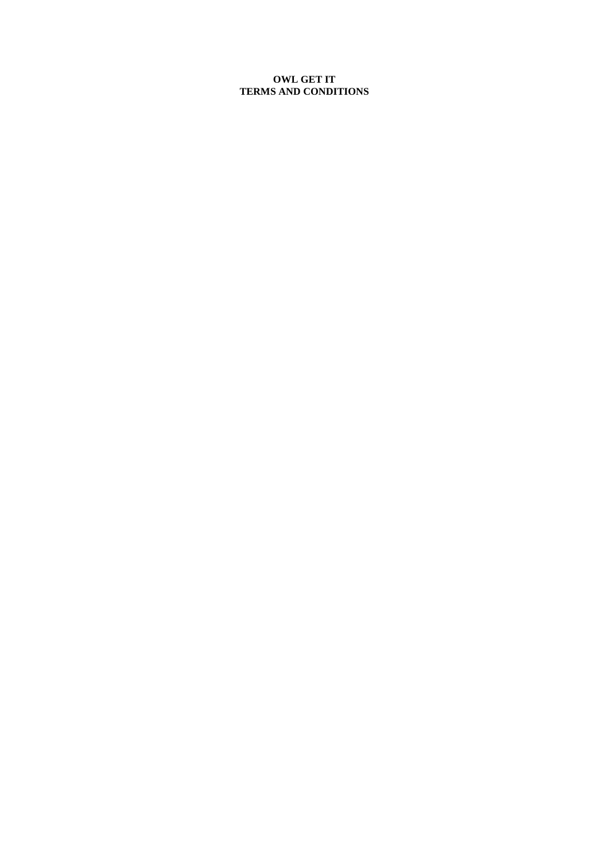### **OWL GET IT TERMS AND CONDITIONS**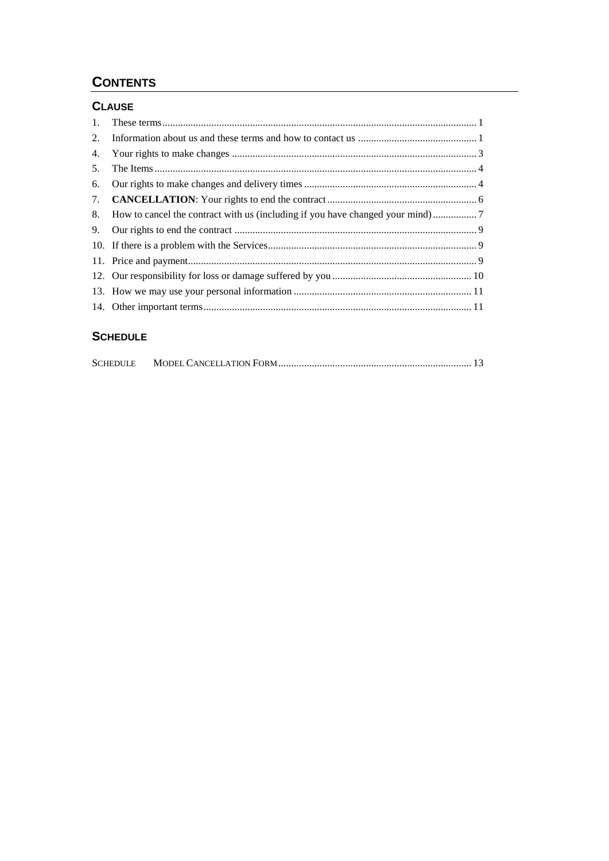# **CONTENTS**

## **CLAUSE**

| $1_{\cdot}$ |                                                                                 |
|-------------|---------------------------------------------------------------------------------|
| 2.          |                                                                                 |
| 4.          |                                                                                 |
| 5.          |                                                                                 |
| 6.          |                                                                                 |
| 7.          |                                                                                 |
|             | 8. How to cancel the contract with us (including if you have changed your mind) |
|             |                                                                                 |
|             |                                                                                 |
|             |                                                                                 |
|             |                                                                                 |
|             |                                                                                 |
|             |                                                                                 |

# **SCHEDULE**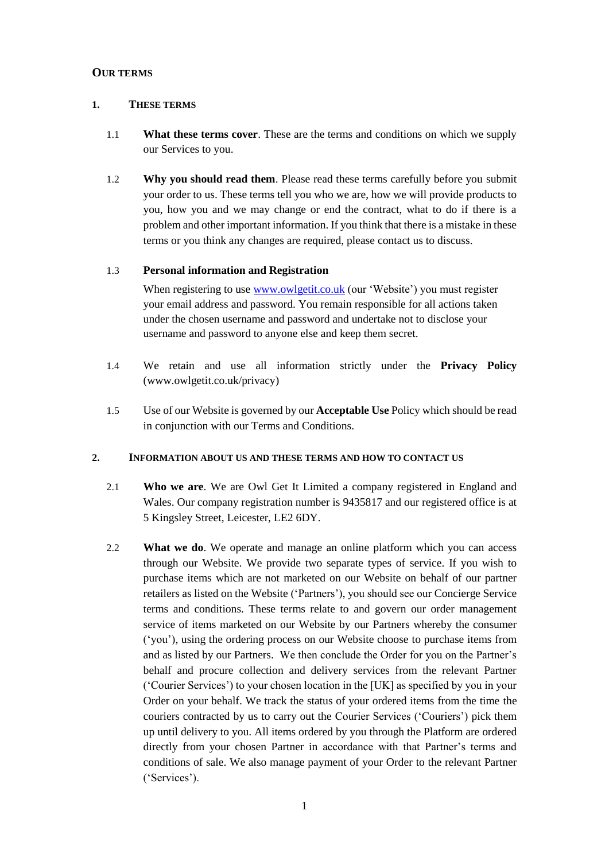### **OUR TERMS**

#### **1. THESE TERMS**

- 1.1 **What these terms cover**. These are the terms and conditions on which we supply our Services to you.
- 1.2 **Why you should read them**. Please read these terms carefully before you submit your order to us. These terms tell you who we are, how we will provide products to you, how you and we may change or end the contract, what to do if there is a problem and other important information. If you think that there is a mistake in these terms or you think any changes are required, please contact us to discuss.

### 1.3 **Personal information and Registration**

When registering to use [www.owlgetit.co.uk](http://www.owlgetit.co.uk/) (our 'Website') you must register your email address and password. You remain responsible for all actions taken under the chosen username and password and undertake not to disclose your username and password to anyone else and keep them secret.

- 1.4 We retain and use all information strictly under the **Privacy Policy** (www.owlgetit.co.uk/privacy)
- 1.5 Use of our Website is governed by our **Acceptable Use** Policy which should be read in conjunction with our Terms and Conditions.

#### **2. INFORMATION ABOUT US AND THESE TERMS AND HOW TO CONTACT US**

- 2.1 **Who we are**. We are Owl Get It Limited a company registered in England and Wales. Our company registration number is 9435817 and our registered office is at 5 Kingsley Street, Leicester, LE2 6DY.
- 2.2 **What we do**. We operate and manage an online platform which you can access through our Website. We provide two separate types of service. If you wish to purchase items which are not marketed on our Website on behalf of our partner retailers as listed on the Website ('Partners'), you should see our Concierge Service terms and conditions. These terms relate to and govern our order management service of items marketed on our Website by our Partners whereby the consumer ('you'), using the ordering process on our Website choose to purchase items from and as listed by our Partners. We then conclude the Order for you on the Partner's behalf and procure collection and delivery services from the relevant Partner ('Courier Services') to your chosen location in the [UK] as specified by you in your Order on your behalf. We track the status of your ordered items from the time the couriers contracted by us to carry out the Courier Services ('Couriers') pick them up until delivery to you. All items ordered by you through the Platform are ordered directly from your chosen Partner in accordance with that Partner's terms and conditions of sale. We also manage payment of your Order to the relevant Partner ('Services').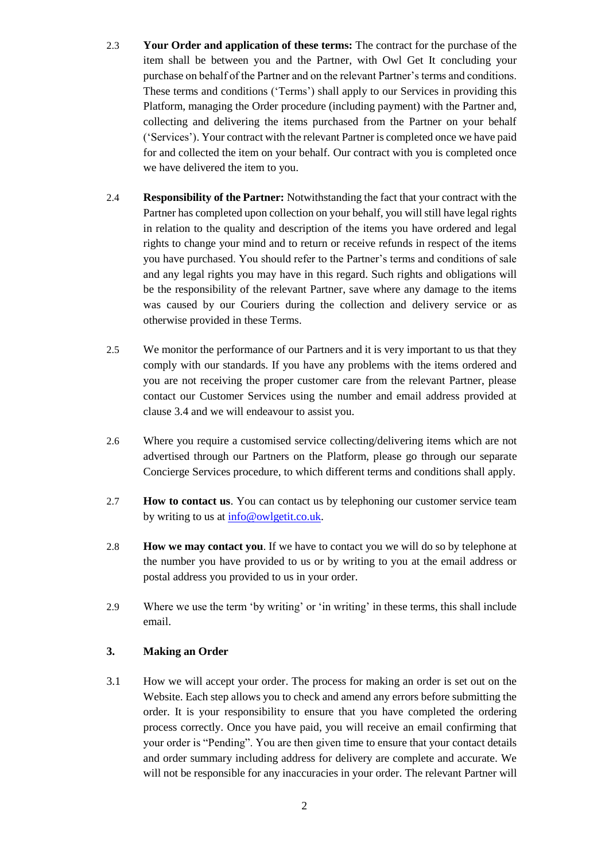- 2.3 **Your Order and application of these terms:** The contract for the purchase of the item shall be between you and the Partner, with Owl Get It concluding your purchase on behalf of the Partner and on the relevant Partner's terms and conditions. These terms and conditions ('Terms') shall apply to our Services in providing this Platform, managing the Order procedure (including payment) with the Partner and, collecting and delivering the items purchased from the Partner on your behalf ('Services'). Your contract with the relevant Partner is completed once we have paid for and collected the item on your behalf. Our contract with you is completed once we have delivered the item to you.
- 2.4 **Responsibility of the Partner:** Notwithstanding the fact that your contract with the Partner has completed upon collection on your behalf, you will still have legal rights in relation to the quality and description of the items you have ordered and legal rights to change your mind and to return or receive refunds in respect of the items you have purchased. You should refer to the Partner's terms and conditions of sale and any legal rights you may have in this regard. Such rights and obligations will be the responsibility of the relevant Partner, save where any damage to the items was caused by our Couriers during the collection and delivery service or as otherwise provided in these Terms.
- 2.5 We monitor the performance of our Partners and it is very important to us that they comply with our standards. If you have any problems with the items ordered and you are not receiving the proper customer care from the relevant Partner, please contact our Customer Services using the number and email address provided at clause 3.4 and we will endeavour to assist you.
- 2.6 Where you require a customised service collecting/delivering items which are not advertised through our Partners on the Platform, please go through our separate Concierge Services procedure, to which different terms and conditions shall apply.
- 2.7 **How to contact us**. You can contact us by telephoning our customer service team by writing to us at [info@owlgetit.co.uk.](mailto:info@owlgetit.co.uk)
- 2.8 **How we may contact you**. If we have to contact you we will do so by telephone at the number you have provided to us or by writing to you at the email address or postal address you provided to us in your order.
- 2.9 Where we use the term 'by writing' or 'in writing' in these terms, this shall include email.

### **3. Making an Order**

3.1 How we will accept your order. The process for making an order is set out on the Website. Each step allows you to check and amend any errors before submitting the order. It is your responsibility to ensure that you have completed the ordering process correctly. Once you have paid, you will receive an email confirming that your order is "Pending". You are then given time to ensure that your contact details and order summary including address for delivery are complete and accurate. We will not be responsible for any inaccuracies in your order. The relevant Partner will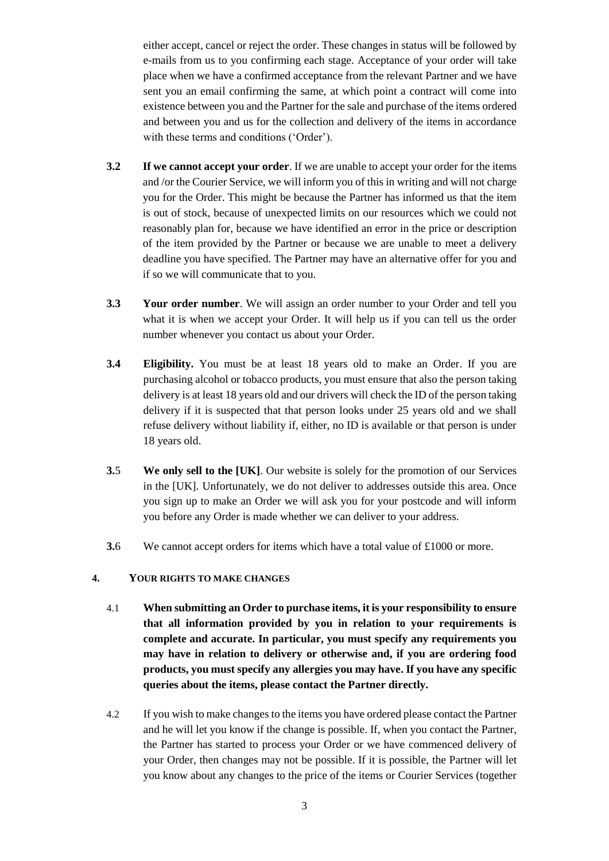either accept, cancel or reject the order. These changes in status will be followed by e-mails from us to you confirming each stage. Acceptance of your order will take place when we have a confirmed acceptance from the relevant Partner and we have sent you an email confirming the same, at which point a contract will come into existence between you and the Partner for the sale and purchase of the items ordered and between you and us for the collection and delivery of the items in accordance with these terms and conditions ('Order').

- **3.2 If we cannot accept your order**. If we are unable to accept your order for the items and /or the Courier Service, we will inform you of this in writing and will not charge you for the Order. This might be because the Partner has informed us that the item is out of stock, because of unexpected limits on our resources which we could not reasonably plan for, because we have identified an error in the price or description of the item provided by the Partner or because we are unable to meet a delivery deadline you have specified. The Partner may have an alternative offer for you and if so we will communicate that to you.
- **3.3 Your order number**. We will assign an order number to your Order and tell you what it is when we accept your Order. It will help us if you can tell us the order number whenever you contact us about your Order.
- **3.4 Eligibility.** You must be at least 18 years old to make an Order. If you are purchasing alcohol or tobacco products, you must ensure that also the person taking delivery is at least 18 years old and our drivers will check the ID of the person taking delivery if it is suspected that that person looks under 25 years old and we shall refuse delivery without liability if, either, no ID is available or that person is under 18 years old.
- **3.**5 **We only sell to the [UK]**. Our website is solely for the promotion of our Services in the [UK]. Unfortunately, we do not deliver to addresses outside this area. Once you sign up to make an Order we will ask you for your postcode and will inform you before any Order is made whether we can deliver to your address.
- **3.**6 We cannot accept orders for items which have a total value of £1000 or more.

#### **4. YOUR RIGHTS TO MAKE CHANGES**

- 4.1 **When submitting an Order to purchase items, it is your responsibility to ensure that all information provided by you in relation to your requirements is complete and accurate. In particular, you must specify any requirements you may have in relation to delivery or otherwise and, if you are ordering food products, you must specify any allergies you may have. If you have any specific queries about the items, please contact the Partner directly.**
- 4.2 If you wish to make changes to the items you have ordered please contact the Partner and he will let you know if the change is possible. If, when you contact the Partner, the Partner has started to process your Order or we have commenced delivery of your Order, then changes may not be possible. If it is possible, the Partner will let you know about any changes to the price of the items or Courier Services (together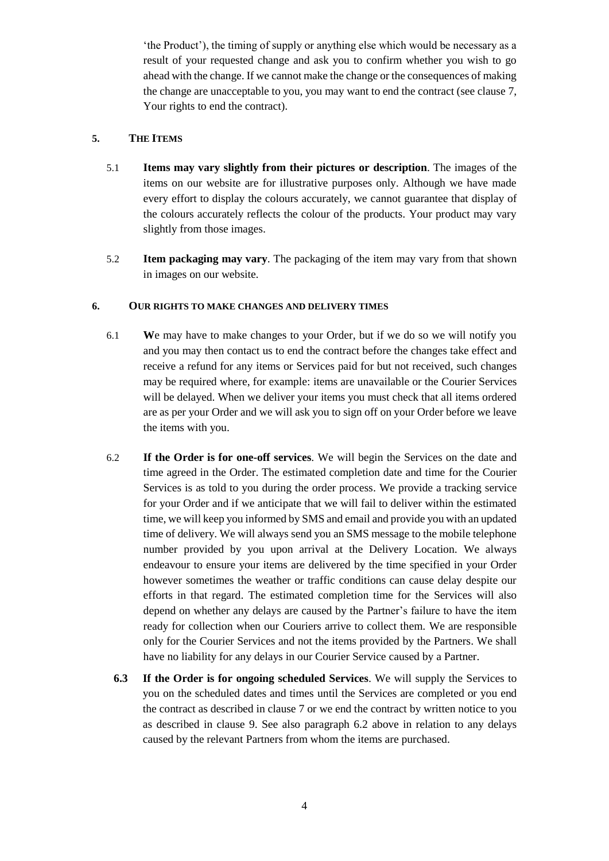'the Product'), the timing of supply or anything else which would be necessary as a result of your requested change and ask you to confirm whether you wish to go ahead with the change. If we cannot make the change or the consequences of making the change are unacceptable to you, you may want to end the contract (see clause 7, Your rights to end the contract).

### **5. THE ITEMS**

- 5.1 **Items may vary slightly from their pictures or description**. The images of the items on our website are for illustrative purposes only. Although we have made every effort to display the colours accurately, we cannot guarantee that display of the colours accurately reflects the colour of the products. Your product may vary slightly from those images.
- 5.2 **Item packaging may vary**. The packaging of the item may vary from that shown in images on our website.

### **6. OUR RIGHTS TO MAKE CHANGES AND DELIVERY TIMES**

- 6.1 **W**e may have to make changes to your Order, but if we do so we will notify you and you may then contact us to end the contract before the changes take effect and receive a refund for any items or Services paid for but not received, such changes may be required where, for example: items are unavailable or the Courier Services will be delayed. When we deliver your items you must check that all items ordered are as per your Order and we will ask you to sign off on your Order before we leave the items with you.
- 6.2 **If the Order is for one-off services**. We will begin the Services on the date and time agreed in the Order. The estimated completion date and time for the Courier Services is as told to you during the order process. We provide a tracking service for your Order and if we anticipate that we will fail to deliver within the estimated time, we will keep you informed by SMS and email and provide you with an updated time of delivery. We will always send you an SMS message to the mobile telephone number provided by you upon arrival at the Delivery Location*.* We always endeavour to ensure your items are delivered by the time specified in your Order however sometimes the weather or traffic conditions can cause delay despite our efforts in that regard. The estimated completion time for the Services will also depend on whether any delays are caused by the Partner's failure to have the item ready for collection when our Couriers arrive to collect them. We are responsible only for the Courier Services and not the items provided by the Partners. We shall have no liability for any delays in our Courier Service caused by a Partner.
	- **6.3 If the Order is for ongoing scheduled Services**. We will supply the Services to you on the scheduled dates and times until the Services are completed or you end the contract as described in clause 7 or we end the contract by written notice to you as described in clause 9. See also paragraph 6.2 above in relation to any delays caused by the relevant Partners from whom the items are purchased.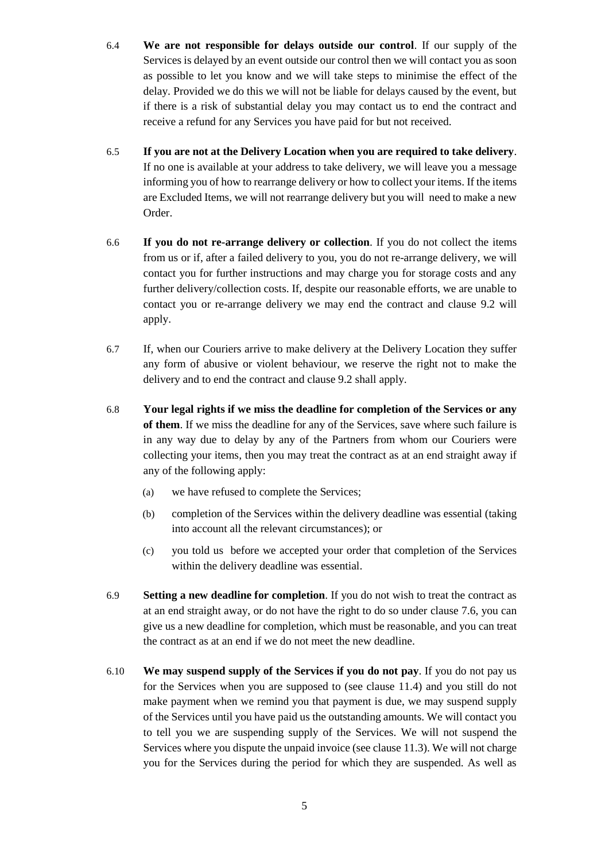- 6.4 **We are not responsible for delays outside our control**. If our supply of the Services is delayed by an event outside our control then we will contact you as soon as possible to let you know and we will take steps to minimise the effect of the delay. Provided we do this we will not be liable for delays caused by the event, but if there is a risk of substantial delay you may contact us to end the contract and receive a refund for any Services you have paid for but not received.
- 6.5 **If you are not at the Delivery Location when you are required to take delivery**. If no one is available at your address to take delivery, we will leave you a message informing you of how to rearrange delivery or how to collect your items. If the items are Excluded Items, we will not rearrange delivery but you will need to make a new Order.
- 6.6 **If you do not re-arrange delivery or collection**. If you do not collect the items from us or if, after a failed delivery to you, you do not re-arrange delivery, we will contact you for further instructions and may charge you for storage costs and any further delivery/collection costs. If, despite our reasonable efforts, we are unable to contact you or re-arrange delivery we may end the contract and clause 9.2 will apply.
- 6.7 If, when our Couriers arrive to make delivery at the Delivery Location they suffer any form of abusive or violent behaviour, we reserve the right not to make the delivery and to end the contract and clause 9.2 shall apply.
- 6.8 **Your legal rights if we miss the deadline for completion of the Services or any of them**. If we miss the deadline for any of the Services, save where such failure is in any way due to delay by any of the Partners from whom our Couriers were collecting your items, then you may treat the contract as at an end straight away if any of the following apply:
	- (a) we have refused to complete the Services;
	- (b) completion of the Services within the delivery deadline was essential (taking into account all the relevant circumstances); or
	- (c) you told us before we accepted your order that completion of the Services within the delivery deadline was essential.
- 6.9 **Setting a new deadline for completion**. If you do not wish to treat the contract as at an end straight away, or do not have the right to do so under clause 7.6, you can give us a new deadline for completion, which must be reasonable, and you can treat the contract as at an end if we do not meet the new deadline.
- 6.10 **We may suspend supply of the Services if you do not pay**. If you do not pay us for the Services when you are supposed to (see clause 11.4) and you still do not make payment when we remind you that payment is due, we may suspend supply of the Services until you have paid us the outstanding amounts. We will contact you to tell you we are suspending supply of the Services. We will not suspend the Services where you dispute the unpaid invoice (see clause 11.3). We will not charge you for the Services during the period for which they are suspended. As well as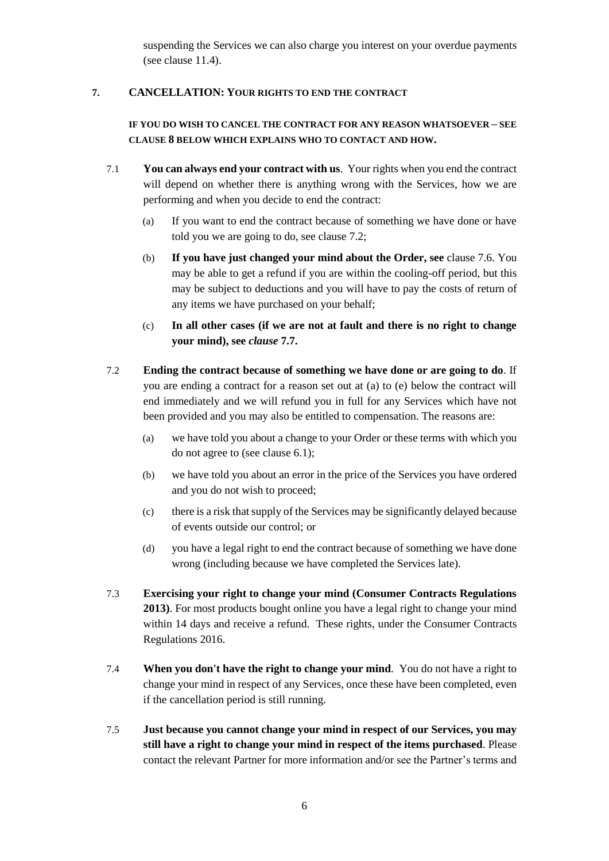suspending the Services we can also charge you interest on your overdue payments (see clause 11.4).

### **7. CANCELLATION: YOUR RIGHTS TO END THE CONTRACT**

### **IF YOU DO WISH TO CANCEL THE CONTRACT FOR ANY REASON WHATSOEVER – SEE CLAUSE 8 BELOW WHICH EXPLAINS WHO TO CONTACT AND HOW.**

- 7.1 **You can always end your contract with us**. Your rights when you end the contract will depend on whether there is anything wrong with the Services, how we are performing and when you decide to end the contract:
	- (a) If you want to end the contract because of something we have done or have told you we are going to do, see clause 7.2;
	- (b) **If you have just changed your mind about the Order, see** clause 7.6. You may be able to get a refund if you are within the cooling-off period, but this may be subject to deductions and you will have to pay the costs of return of any items we have purchased on your behalf;
	- (c) **In all other cases (if we are not at fault and there is no right to change your mind), see** *clause* **[7.7.](#page-8-0)**
- 7.2 **Ending the contract because of something we have done or are going to do**. If you are ending a contract for a reason set out at (a) to (e) below the contract will end immediately and we will refund you in full for any Services which have not been provided and you may also be entitled to compensation. The reasons are:
	- (a) we have told you about a change to your Order or these terms with which you do not agree to (see clause 6.1);
	- (b) we have told you about an error in the price of the Services you have ordered and you do not wish to proceed;
	- (c) there is a risk that supply of the Services may be significantly delayed because of events outside our control; or
	- (d) you have a legal right to end the contract because of something we have done wrong (including because we have completed the Services late).
- 7.3 **Exercising your right to change your mind (Consumer Contracts Regulations 2013)**. For most products bought online you have a legal right to change your mind within 14 days and receive a refund. These rights, under the Consumer Contracts Regulations 2016.
- 7.4 **When you don't have the right to change your mind**. You do not have a right to change your mind in respect of any Services, once these have been completed, even if the cancellation period is still running.
- 7.5 **Just because you cannot change your mind in respect of our Services, you may still have a right to change your mind in respect of the items purchased**. Please contact the relevant Partner for more information and/or see the Partner's terms and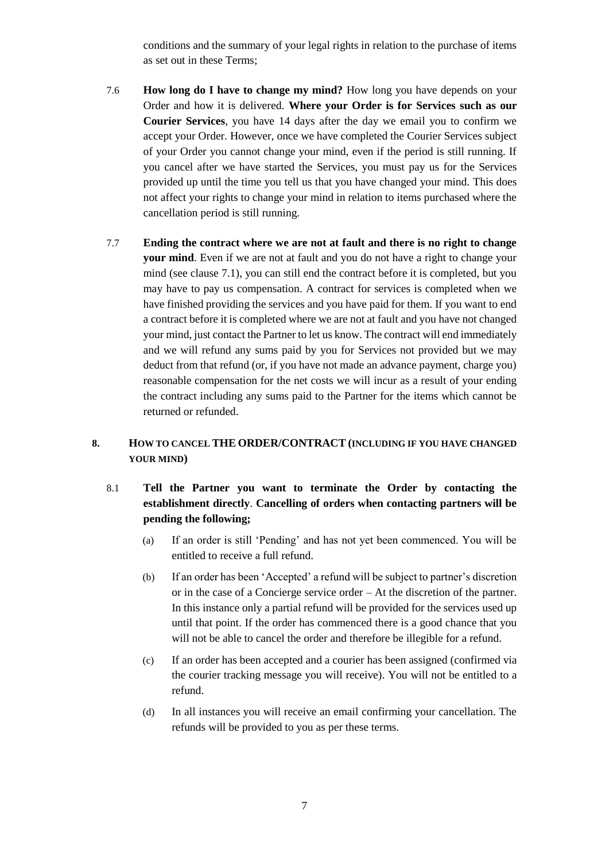conditions and the summary of your legal rights in relation to the purchase of items as set out in these Terms;

- 7.6 **How long do I have to change my mind?** How long you have depends on your Order and how it is delivered. **Where your Order is for Services such as our Courier Services**, you have 14 days after the day we email you to confirm we accept your Order. However, once we have completed the Courier Services subject of your Order you cannot change your mind, even if the period is still running. If you cancel after we have started the Services, you must pay us for the Services provided up until the time you tell us that you have changed your mind. This does not affect your rights to change your mind in relation to items purchased where the cancellation period is still running.
- <span id="page-8-0"></span>7.7 **Ending the contract where we are not at fault and there is no right to change your mind**. Even if we are not at fault and you do not have a right to change your mind (see clause 7.1), you can still end the contract before it is completed, but you may have to pay us compensation. A contract for services is completed when we have finished providing the services and you have paid for them. If you want to end a contract before it is completed where we are not at fault and you have not changed your mind, just contact the Partner to let us know. The contract will end immediately and we will refund any sums paid by you for Services not provided but we may deduct from that refund (or, if you have not made an advance payment, charge you) reasonable compensation for the net costs we will incur as a result of your ending the contract including any sums paid to the Partner for the items which cannot be returned or refunded.

## **8. HOW TO CANCEL THE ORDER/CONTRACT (INCLUDING IF YOU HAVE CHANGED YOUR MIND)**

- 8.1 **Tell the Partner you want to terminate the Order by contacting the establishment directly**. **Cancelling of orders when contacting partners will be pending the following;**
	- (a) If an order is still 'Pending' and has not yet been commenced. You will be entitled to receive a full refund.
	- (b) If an order has been 'Accepted' a refund will be subject to partner's discretion or in the case of a Concierge service order – At the discretion of the partner. In this instance only a partial refund will be provided for the services used up until that point. If the order has commenced there is a good chance that you will not be able to cancel the order and therefore be illegible for a refund.
	- (c) If an order has been accepted and a courier has been assigned (confirmed via the courier tracking message you will receive). You will not be entitled to a refund.
	- (d) In all instances you will receive an email confirming your cancellation. The refunds will be provided to you as per these terms.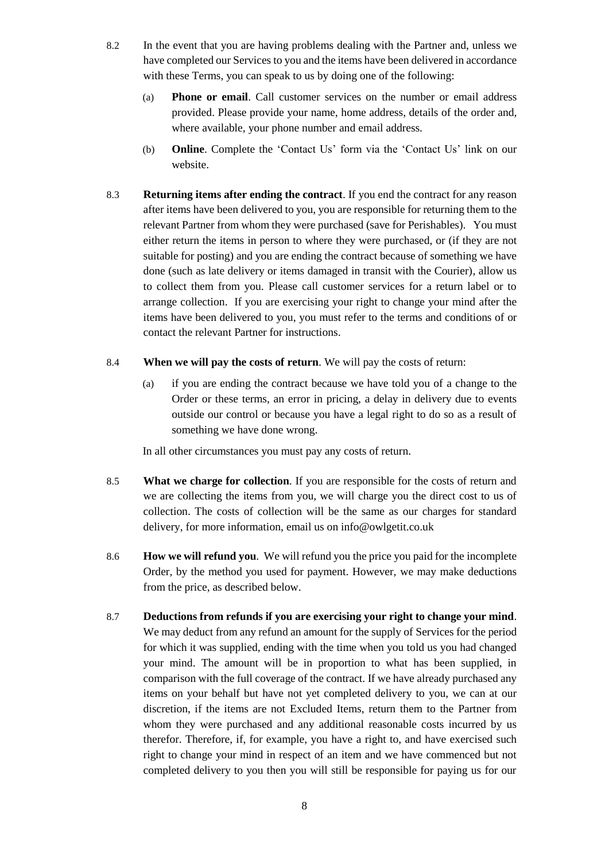- 8.2 In the event that you are having problems dealing with the Partner and, unless we have completed our Services to you and the items have been delivered in accordance with these Terms, you can speak to us by doing one of the following:
	- (a) **Phone or email**. Call customer services on the number or email address provided. Please provide your name, home address, details of the order and, where available, your phone number and email address.
	- (b) **Online**. Complete the 'Contact Us' form via the 'Contact Us' link on our website.
- 8.3 **Returning items after ending the contract**. If you end the contract for any reason after items have been delivered to you, you are responsible for returning them to the relevant Partner from whom they were purchased (save for Perishables). You must either return the items in person to where they were purchased, or (if they are not suitable for posting) and you are ending the contract because of something we have done (such as late delivery or items damaged in transit with the Courier), allow us to collect them from you. Please call customer services for a return label or to arrange collection. If you are exercising your right to change your mind after the items have been delivered to you, you must refer to the terms and conditions of or contact the relevant Partner for instructions.
- 8.4 **When we will pay the costs of return**. We will pay the costs of return:
	- (a) if you are ending the contract because we have told you of a change to the Order or these terms, an error in pricing, a delay in delivery due to events outside our control or because you have a legal right to do so as a result of something we have done wrong.

In all other circumstances you must pay any costs of return.

- 8.5 **What we charge for collection**. If you are responsible for the costs of return and we are collecting the items from you, we will charge you the direct cost to us of collection. The costs of collection will be the same as our charges for standard delivery, for more information, email us on info@owlgetit.co.uk
- 8.6 **How we will refund you**. We will refund you the price you paid for the incomplete Order, by the method you used for payment. However, we may make deductions from the price, as described below.
- 8.7 **Deductions from refunds if you are exercising your right to change your mind**. We may deduct from any refund an amount for the supply of Services for the period for which it was supplied, ending with the time when you told us you had changed your mind. The amount will be in proportion to what has been supplied, in comparison with the full coverage of the contract. If we have already purchased any items on your behalf but have not yet completed delivery to you, we can at our discretion, if the items are not Excluded Items, return them to the Partner from whom they were purchased and any additional reasonable costs incurred by us therefor. Therefore, if, for example, you have a right to, and have exercised such right to change your mind in respect of an item and we have commenced but not completed delivery to you then you will still be responsible for paying us for our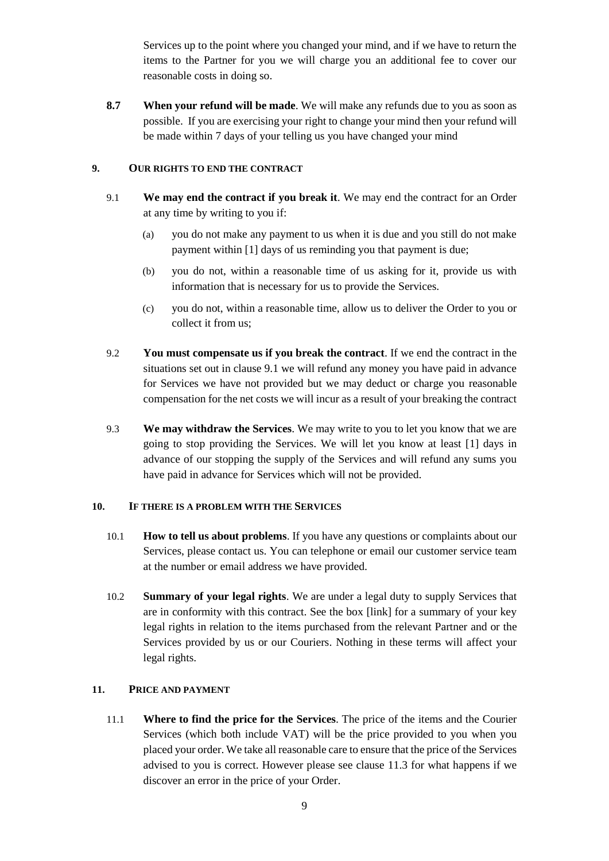Services up to the point where you changed your mind, and if we have to return the items to the Partner for you we will charge you an additional fee to cover our reasonable costs in doing so.

**8.7 When your refund will be made**. We will make any refunds due to you as soon as possible. If you are exercising your right to change your mind then your refund will be made within 7 days of your telling us you have changed your mind

### **9. OUR RIGHTS TO END THE CONTRACT**

- 9.1 **We may end the contract if you break it**. We may end the contract for an Order at any time by writing to you if:
	- (a) you do not make any payment to us when it is due and you still do not make payment within [1] days of us reminding you that payment is due;
	- (b) you do not, within a reasonable time of us asking for it, provide us with information that is necessary for us to provide the Services.
	- (c) you do not, within a reasonable time, allow us to deliver the Order to you or collect it from us;
- 9.2 **You must compensate us if you break the contract**. If we end the contract in the situations set out in clause 9.1 we will refund any money you have paid in advance for Services we have not provided but we may deduct or charge you reasonable compensation for the net costs we will incur as a result of your breaking the contract
- 9.3 **We may withdraw the Services**. We may write to you to let you know that we are going to stop providing the Services. We will let you know at least [1] days in advance of our stopping the supply of the Services and will refund any sums you have paid in advance for Services which will not be provided.

#### **10. IF THERE IS A PROBLEM WITH THE SERVICES**

- 10.1 **How to tell us about problems**. If you have any questions or complaints about our Services, please contact us. You can telephone or email our customer service team at the number or email address we have provided.
- 10.2 **Summary of your legal rights**. We are under a legal duty to supply Services that are in conformity with this contract. See the box [link] for a summary of your key legal rights in relation to the items purchased from the relevant Partner and or the Services provided by us or our Couriers. Nothing in these terms will affect your legal rights.

### **11. PRICE AND PAYMENT**

11.1 **Where to find the price for the Services**. The price of the items and the Courier Services (which both include VAT) will be the price provided to you when you placed your order. We take all reasonable care to ensure that the price of the Services advised to you is correct. However please see clause 11.3 for what happens if we discover an error in the price of your Order.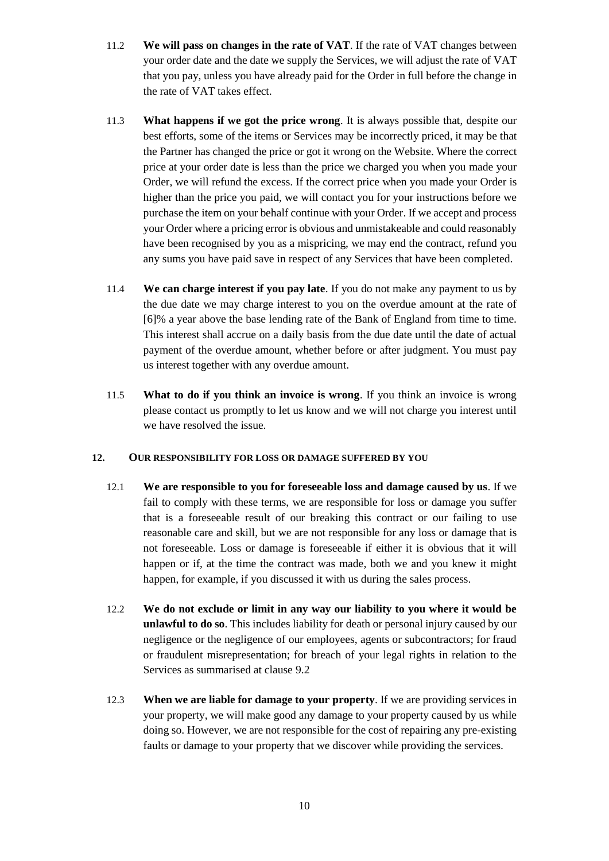- 11.2 **We will pass on changes in the rate of VAT**. If the rate of VAT changes between your order date and the date we supply the Services, we will adjust the rate of VAT that you pay, unless you have already paid for the Order in full before the change in the rate of VAT takes effect.
- 11.3 **What happens if we got the price wrong**. It is always possible that, despite our best efforts, some of the items or Services may be incorrectly priced, it may be that the Partner has changed the price or got it wrong on the Website. Where the correct price at your order date is less than the price we charged you when you made your Order, we will refund the excess. If the correct price when you made your Order is higher than the price you paid, we will contact you for your instructions before we purchase the item on your behalf continue with your Order. If we accept and process your Order where a pricing error is obvious and unmistakeable and could reasonably have been recognised by you as a mispricing, we may end the contract, refund you any sums you have paid save in respect of any Services that have been completed.
- 11.4 **We can charge interest if you pay late**. If you do not make any payment to us by the due date we may charge interest to you on the overdue amount at the rate of [6]% a year above the base lending rate of the Bank of England from time to time. This interest shall accrue on a daily basis from the due date until the date of actual payment of the overdue amount, whether before or after judgment. You must pay us interest together with any overdue amount.
- 11.5 **What to do if you think an invoice is wrong**. If you think an invoice is wrong please contact us promptly to let us know and we will not charge you interest until we have resolved the issue.

#### **12. OUR RESPONSIBILITY FOR LOSS OR DAMAGE SUFFERED BY YOU**

- 12.1 **We are responsible to you for foreseeable loss and damage caused by us**. If we fail to comply with these terms, we are responsible for loss or damage you suffer that is a foreseeable result of our breaking this contract or our failing to use reasonable care and skill, but we are not responsible for any loss or damage that is not foreseeable. Loss or damage is foreseeable if either it is obvious that it will happen or if, at the time the contract was made, both we and you knew it might happen, for example, if you discussed it with us during the sales process.
- 12.2 **We do not exclude or limit in any way our liability to you where it would be unlawful to do so**. This includes liability for death or personal injury caused by our negligence or the negligence of our employees, agents or subcontractors; for fraud or fraudulent misrepresentation; for breach of your legal rights in relation to the Services as summarised at clause 9.2
- 12.3 **When we are liable for damage to your property**. If we are providing services in your property, we will make good any damage to your property caused by us while doing so. However, we are not responsible for the cost of repairing any pre-existing faults or damage to your property that we discover while providing the services.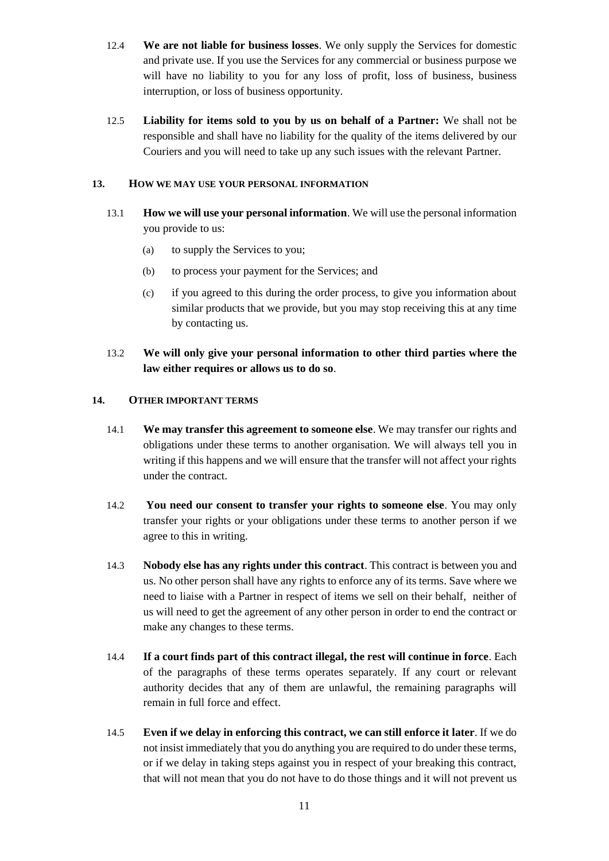- 12.4 **We are not liable for business losses**. We only supply the Services for domestic and private use. If you use the Services for any commercial or business purpose we will have no liability to you for any loss of profit, loss of business, business interruption, or loss of business opportunity.
- 12.5 **Liability for items sold to you by us on behalf of a Partner:** We shall not be responsible and shall have no liability for the quality of the items delivered by our Couriers and you will need to take up any such issues with the relevant Partner.

### **13. HOW WE MAY USE YOUR PERSONAL INFORMATION**

- 13.1 **How we will use your personal information**. We will use the personal information you provide to us:
	- (a) to supply the Services to you;
	- (b) to process your payment for the Services; and
	- (c) if you agreed to this during the order process, to give you information about similar products that we provide, but you may stop receiving this at any time by contacting us.

### 13.2 **We will only give your personal information to other third parties where the law either requires or allows us to do so**.

### **14. OTHER IMPORTANT TERMS**

- 14.1 **We may transfer this agreement to someone else**. We may transfer our rights and obligations under these terms to another organisation. We will always tell you in writing if this happens and we will ensure that the transfer will not affect your rights under the contract.
- 14.2 **You need our consent to transfer your rights to someone else**. You may only transfer your rights or your obligations under these terms to another person if we agree to this in writing.
- 14.3 **Nobody else has any rights under this contract**. This contract is between you and us. No other person shall have any rights to enforce any of its terms. Save where we need to liaise with a Partner in respect of items we sell on their behalf, neither of us will need to get the agreement of any other person in order to end the contract or make any changes to these terms.
- 14.4 **If a court finds part of this contract illegal, the rest will continue in force**. Each of the paragraphs of these terms operates separately. If any court or relevant authority decides that any of them are unlawful, the remaining paragraphs will remain in full force and effect.
- 14.5 **Even if we delay in enforcing this contract, we can still enforce it later**. If we do not insist immediately that you do anything you are required to do under these terms, or if we delay in taking steps against you in respect of your breaking this contract, that will not mean that you do not have to do those things and it will not prevent us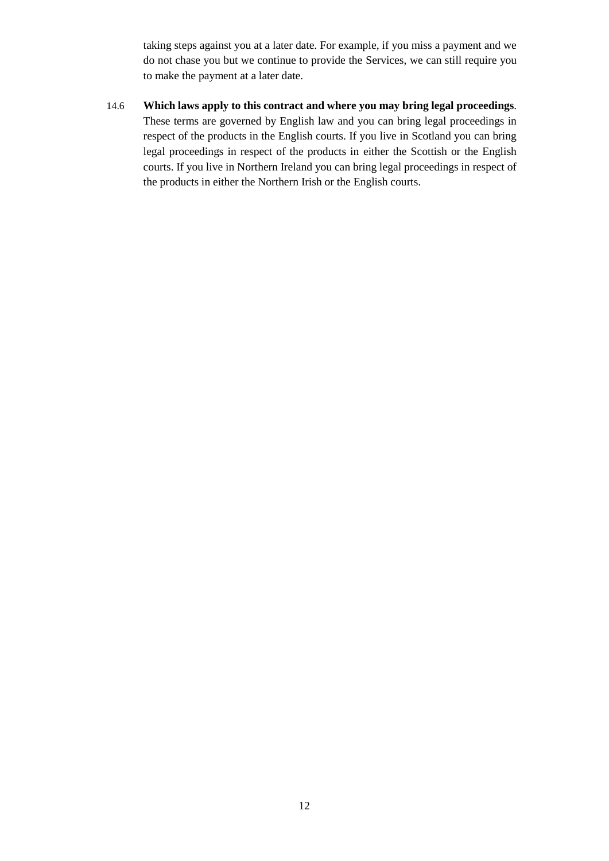taking steps against you at a later date. For example, if you miss a payment and we do not chase you but we continue to provide the Services, we can still require you to make the payment at a later date.

14.6 **Which laws apply to this contract and where you may bring legal proceedings**. These terms are governed by English law and you can bring legal proceedings in respect of the products in the English courts. If you live in Scotland you can bring legal proceedings in respect of the products in either the Scottish or the English courts. If you live in Northern Ireland you can bring legal proceedings in respect of the products in either the Northern Irish or the English courts.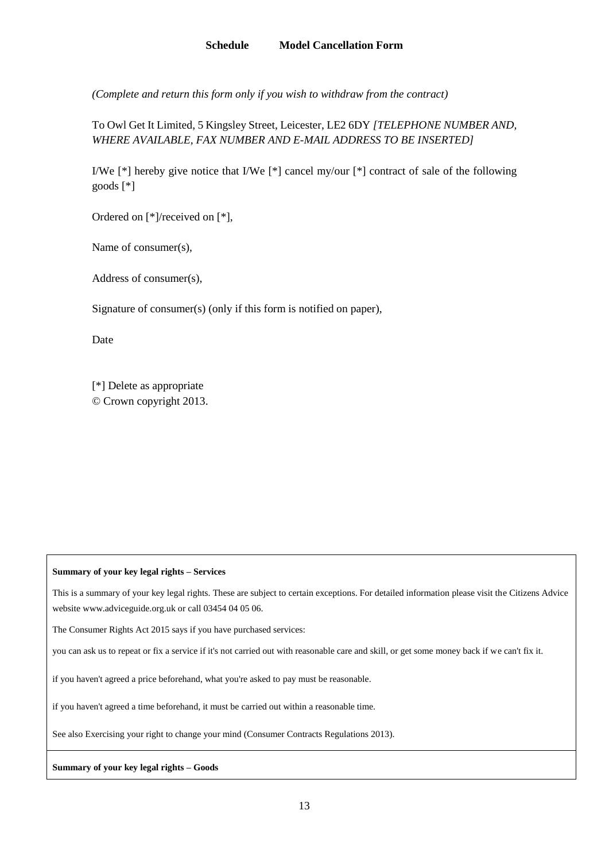*(Complete and return this form only if you wish to withdraw from the contract)*

To Owl Get It Limited, 5 Kingsley Street, Leicester, LE2 6DY *[TELEPHONE NUMBER AND, WHERE AVAILABLE, FAX NUMBER AND E-MAIL ADDRESS TO BE INSERTED]*

I/We [\*] hereby give notice that I/We [\*] cancel my/our [\*] contract of sale of the following goods [\*]

Ordered on [\*]/received on [\*],

Name of consumer(s),

Address of consumer(s),

Signature of consumer(s) (only if this form is notified on paper),

Date

[\*] Delete as appropriate © Crown copyright 2013.

#### **Summary of your key legal rights – Services**

This is a summary of your key legal rights. These are subject to certain exceptions. For detailed information please visit the Citizens Advice website www.adviceguide.org.uk or call 03454 04 05 06.

The Consumer Rights Act 2015 says if you have purchased services:

you can ask us to repeat or fix a service if it's not carried out with reasonable care and skill, or get some money back if we can't fix it.

if you haven't agreed a price beforehand, what you're asked to pay must be reasonable.

if you haven't agreed a time beforehand, it must be carried out within a reasonable time.

See also Exercising your right to change your mind (Consumer Contracts Regulations 2013).

#### **Summary of your key legal rights – Goods**